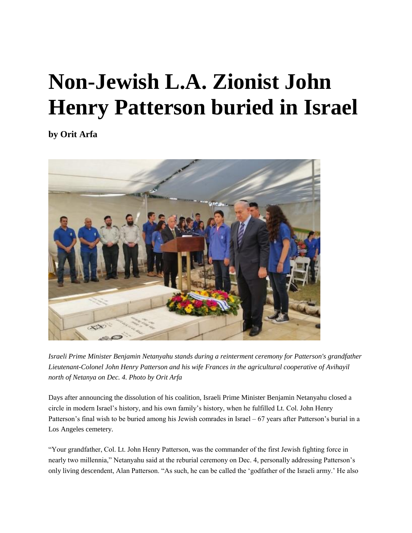## **Non-Jewish L.A. Zionist John Henry Patterson buried in Israel**

**by [Orit Arfa](http://www.jewishjournal.com/about/author/20)**



*Israeli Prime Minister Benjamin Netanyahu stands during a reinterment ceremony for Patterson's grandfather Lieutenant-Colonel John Henry Patterson and his wife Frances in the agricultural cooperative of Avihayil north of Netanya on Dec. 4. Photo by Orit Arfa*

Days after announcing the dissolution of his coalition, Israeli Prime Minister Benjamin Netanyahu closed a circle in modern Israel's history, and his own family's history, when he fulfilled Lt. Col. John Henry Patterson's final wish to be buried among his Jewish comrades in Israel – 67 years after Patterson's burial in a Los Angeles cemetery.

"Your grandfather, Col. Lt. John Henry Patterson, was the commander of the first Jewish fighting force in nearly two millennia," Netanyahu said at the reburial ceremony on Dec. 4, personally addressing Patterson's only living descendent, Alan Patterson. "As such, he can be called the 'godfather of the Israeli army.' He also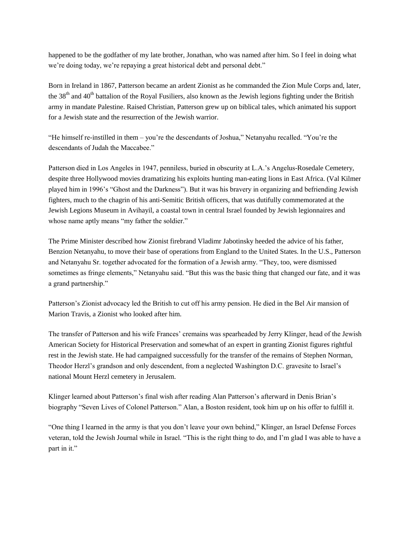happened to be the godfather of my late brother, Jonathan, who was named after him. So I feel in doing what we're doing today, we're repaying a great historical debt and personal debt."

Born in Ireland in 1867, Patterson became an ardent Zionist as he commanded the Zion Mule Corps and, later, the 38<sup>th</sup> and 40<sup>th</sup> battalion of the Royal Fusiliers, also known as the Jewish legions fighting under the British army in mandate Palestine. Raised Christian, Patterson grew up on biblical tales, which animated his support for a Jewish state and the resurrection of the Jewish warrior.

"He himself re-instilled in them – you're the descendants of Joshua," Netanyahu recalled. "You're the descendants of Judah the Maccabee."

Patterson died in Los Angeles in 1947, penniless, buried in obscurity at L.A.'s Angelus-Rosedale Cemetery, despite three Hollywood movies dramatizing his exploits hunting man-eating lions in East Africa. (Val Kilmer played him in 1996's "Ghost and the Darkness"). But it was his bravery in organizing and befriending Jewish fighters, much to the chagrin of his anti-Semitic British officers, that was dutifully commemorated at the Jewish Legions Museum in Avihayil, a coastal town in central Israel founded by Jewish legionnaires and whose name aptly means "my father the soldier."

The Prime Minister described how Zionist firebrand Vladimr Jabotinsky heeded the advice of his father, Benzion Netanyahu, to move their base of operations from England to the United States. In the U.S., Patterson and Netanyahu Sr. together advocated for the formation of a Jewish army. "They, too, were dismissed sometimes as fringe elements," Netanyahu said. "But this was the basic thing that changed our fate, and it was a grand partnership."

Patterson's Zionist advocacy led the British to cut off his army pension. He died in the Bel Air mansion of Marion Travis, a Zionist who looked after him.

The transfer of Patterson and his wife Frances' cremains was spearheaded by Jerry Klinger, head of the Jewish American Society for Historical Preservation and somewhat of an expert in granting Zionist figures rightful rest in the Jewish state. He had campaigned successfully for the transfer of the remains of Stephen Norman, Theodor Herzl's grandson and only descendent, from a neglected Washington D.C. gravesite to Israel's national Mount Herzl cemetery in Jerusalem.

Klinger learned about Patterson's final wish after reading Alan Patterson's afterward in Denis Brian's biography "Seven Lives of Colonel Patterson." Alan, a Boston resident, took him up on his offer to fulfill it.

"One thing I learned in the army is that you don't leave your own behind," Klinger, an Israel Defense Forces veteran, told the Jewish Journal while in Israel. "This is the right thing to do, and I'm glad I was able to have a part in it."